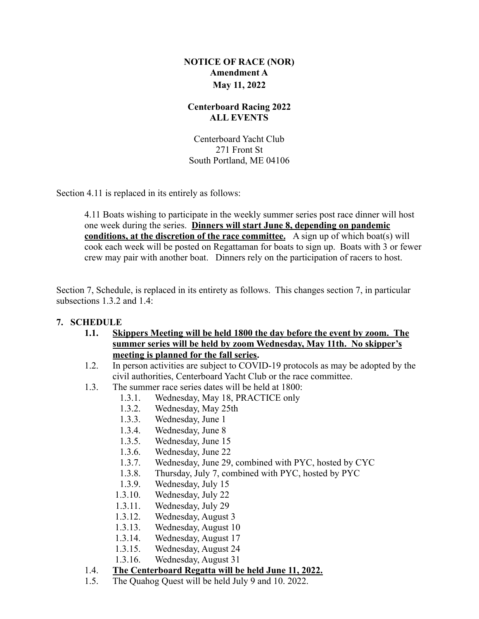## **NOTICE OF RACE (NOR) Amendment A May 11, 2022**

## **Centerboard Racing 2022 ALL EVENTS**

Centerboard Yacht Club 271 Front St South Portland, ME 04106

Section 4.11 is replaced in its entirely as follows:

4.11 Boats wishing to participate in the weekly summer series post race dinner will host one week during the series. **Dinners will start June 8, depending on pandemic <u>conditions, at the discretion of the race committee.</u> A sign up of which boat(s) will** cook each week will be posted on Regattaman for boats to sign up. Boats with 3 or fewer crew may pair with another boat. Dinners rely on the participation of racers to host.

Section 7, Schedule, is replaced in its entirety as follows. This changes section 7, in particular subsections 1.3.2 and 1.4:

## **7. SCHEDULE**

- **1.1. Skippers Meeting will be held 1800 the day before the event by zoom. The summer series will be held by zoom Wednesday, May 11th. No skipper's meeting is planned for the fall series.**
- 1.2. In person activities are subject to COVID-19 protocols as may be adopted by the civil authorities, Centerboard Yacht Club or the race committee.
- 1.3. The summer race series dates will be held at 1800:
	- 1.3.1. Wednesday, May 18, PRACTICE only
	- 1.3.2. Wednesday, May 25th
	- 1.3.3. Wednesday, June 1
	- 1.3.4. Wednesday, June 8
	- 1.3.5. Wednesday, June 15
	- 1.3.6. Wednesday, June 22
	- 1.3.7. Wednesday, June 29, combined with PYC, hosted by CYC
	- 1.3.8. Thursday, July 7, combined with PYC, hosted by PYC
	- 1.3.9. Wednesday, July 15
	- 1.3.10. Wednesday, July 22
	- 1.3.11. Wednesday, July 29
	- 1.3.12. Wednesday, August 3
	- 1.3.13. Wednesday, August 10
	- 1.3.14. Wednesday, August 17
	- 1.3.15. Wednesday, August 24
	- 1.3.16. Wednesday, August 31

## 1.4. **The Centerboard Regatta will be held June 11, 2022.**

1.5. The Quahog Quest will be held July 9 and 10. 2022.